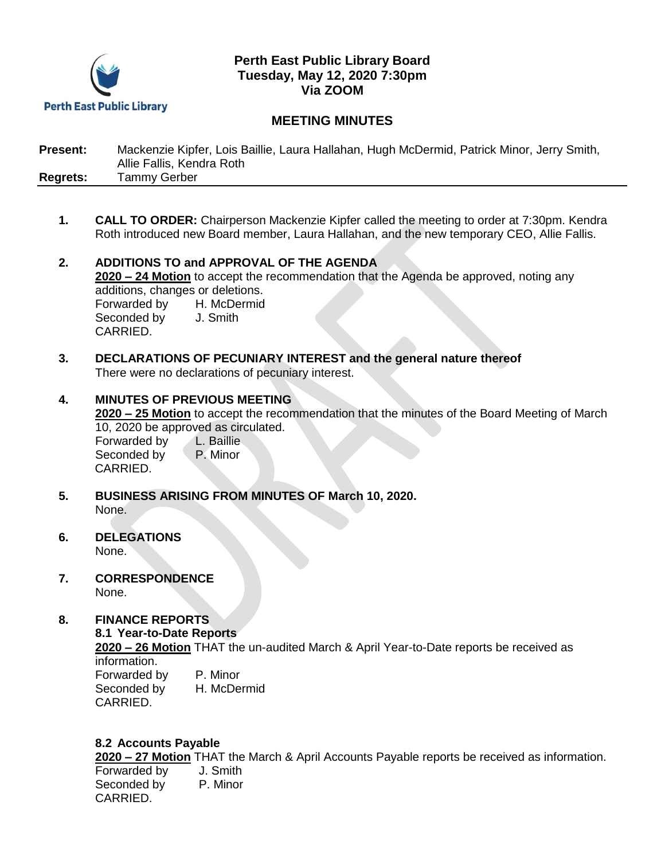

## **Perth East Public Library Board Tuesday, May 12, 2020 7:30pm Via ZOOM**

# **MEETING MINUTES**

**Present:** Mackenzie Kipfer, Lois Baillie, Laura Hallahan, Hugh McDermid, Patrick Minor, Jerry Smith, Allie Fallis, Kendra Roth **Regrets:** Tammy Gerber

- **1. CALL TO ORDER:** Chairperson Mackenzie Kipfer called the meeting to order at 7:30pm. Kendra Roth introduced new Board member, Laura Hallahan, and the new temporary CEO, Allie Fallis.
- **2. ADDITIONS TO and APPROVAL OF THE AGENDA 2020 – 24 Motion** to accept the recommendation that the Agenda be approved, noting any additions, changes or deletions. Forwarded by H. McDermid Seconded by **J. Smith** CARRIED.
- **3. DECLARATIONS OF PECUNIARY INTEREST and the general nature thereof** There were no declarations of pecuniary interest.
- **4. MINUTES OF PREVIOUS MEETING 2020 – 25 Motion** to accept the recommendation that the minutes of the Board Meeting of March 10, 2020 be approved as circulated.<br>Forwarded by L. Baillie Forwarded by Seconded by P. Minor CARRIED.
- **5. BUSINESS ARISING FROM MINUTES OF March 10, 2020.** None.
- **6. DELEGATIONS** None.
- **7. CORRESPONDENCE** None.

### **8. FINANCE REPORTS**

**8.1 Year-to-Date Reports**

**2020 – 26 Motion** THAT the un-audited March & April Year-to-Date reports be received as information. Forwarded by P. Minor

Seconded by H. McDermid CARRIED.

#### **8.2 Accounts Payable**

**2020 – 27 Motion** THAT the March & April Accounts Payable reports be received as information.

Forwarded by J. Smith Seconded by P. Minor CARRIED.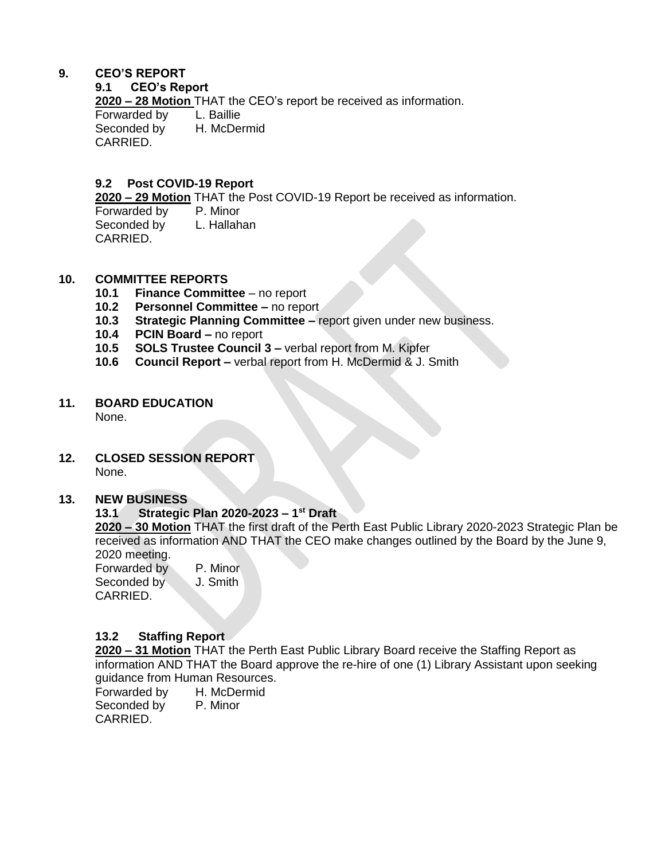# **9. CEO'S REPORT**

#### **9.1 CEO's Report**

**2020 – 28 Motion** THAT the CEO's report be received as information.

Forwarded by L. Baillie<br>Seconded by H. McDermid Seconded by CARRIED.

### **9.2 Post COVID-19 Report**

**2020 – 29 Motion** THAT the Post COVID-19 Report be received as information.

Forwarded by P. Minor Seconded by L. Hallahan CARRIED.

### **10. COMMITTEE REPORTS**

- **10.1 Finance Committee**  no report
- **10.2 Personnel Committee –** no report
- **10.3 Strategic Planning Committee –** report given under new business.
- **10.4 PCIN Board –** no report
- **10.5 SOLS Trustee Council 3 –** verbal report from M. Kipfer
- **10.6 Council Report –** verbal report from H. McDermid & J. Smith

# **11. BOARD EDUCATION**

None.

**12. CLOSED SESSION REPORT** None.

#### **13. NEW BUSINESS**

#### **13.1 Strategic Plan 2020-2023 – 1 st Draft**

**2020 – 30 Motion** THAT the first draft of the Perth East Public Library 2020-2023 Strategic Plan be received as information AND THAT the CEO make changes outlined by the Board by the June 9, 2020 meeting.

Forwarded by P. Minor Seconded by J. Smith CARRIED.

### **13.2 Staffing Report**

**2020 – 31 Motion** THAT the Perth East Public Library Board receive the Staffing Report as information AND THAT the Board approve the re-hire of one (1) Library Assistant upon seeking guidance from Human Resources.

Forwarded by H. McDermid Seconded by P. Minor CARRIED.